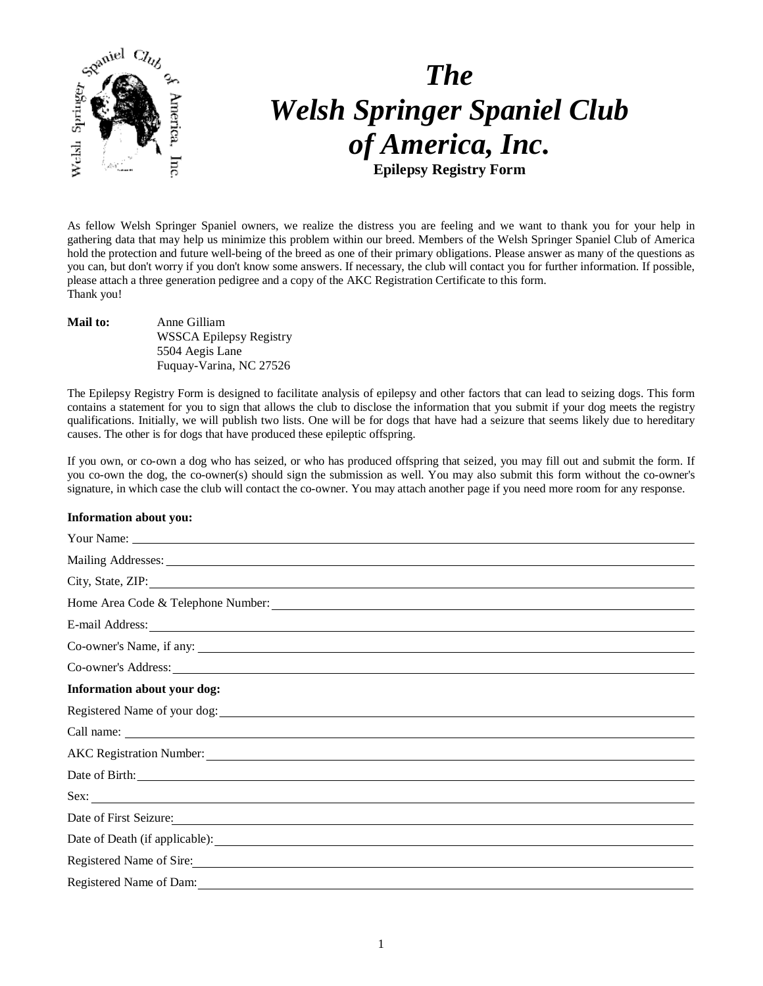

# *The Welsh Springer Spaniel Club of America, Inc.* **Epilepsy Registry Form**

As fellow Welsh Springer Spaniel owners, we realize the distress you are feeling and we want to thank you for your help in gathering data that may help us minimize this problem within our breed. Members of the Welsh Springer Spaniel Club of America hold the protection and future well-being of the breed as one of their primary obligations. Please answer as many of the questions as you can, but don't worry if you don't know some answers. If necessary, the club will contact you for further information. If possible, please attach a three generation pedigree and a copy of the AKC Registration Certificate to this form. Thank you!

**Mail to:** Anne Gilliam WSSCA Epilepsy Registry 5504 Aegis Lane Fuquay-Varina, NC 27526

The Epilepsy Registry Form is designed to facilitate analysis of epilepsy and other factors that can lead to seizing dogs. This form contains a statement for you to sign that allows the club to disclose the information that you submit if your dog meets the registry qualifications. Initially, we will publish two lists. One will be for dogs that have had a seizure that seems likely due to hereditary causes. The other is for dogs that have produced these epileptic offspring.

If you own, or co-own a dog who has seized, or who has produced offspring that seized, you may fill out and submit the form. If you co-own the dog, the co-owner(s) should sign the submission as well. You may also submit this form without the co-owner's signature, in which case the club will contact the co-owner. You may attach another page if you need more room for any response.

#### **Information about you:**

| City, State, ZIP:                                                                                                                                                                                                              |
|--------------------------------------------------------------------------------------------------------------------------------------------------------------------------------------------------------------------------------|
| Home Area Code & Telephone Number: 2008 and 2008 and 2008 and 2008 and 2008 and 2008 and 2008 and 2008 and 2008 and 2008 and 2008 and 2008 and 2008 and 2008 and 2008 and 2008 and 2008 and 2008 and 2008 and 2008 and 2008 an |
|                                                                                                                                                                                                                                |
|                                                                                                                                                                                                                                |
|                                                                                                                                                                                                                                |
| Information about your dog:                                                                                                                                                                                                    |
| Registered Name of your dog:                                                                                                                                                                                                   |
|                                                                                                                                                                                                                                |
|                                                                                                                                                                                                                                |
|                                                                                                                                                                                                                                |
|                                                                                                                                                                                                                                |
| Date of First Seizure.                                                                                                                                                                                                         |
|                                                                                                                                                                                                                                |
| Registered Name of Sire:                                                                                                                                                                                                       |
|                                                                                                                                                                                                                                |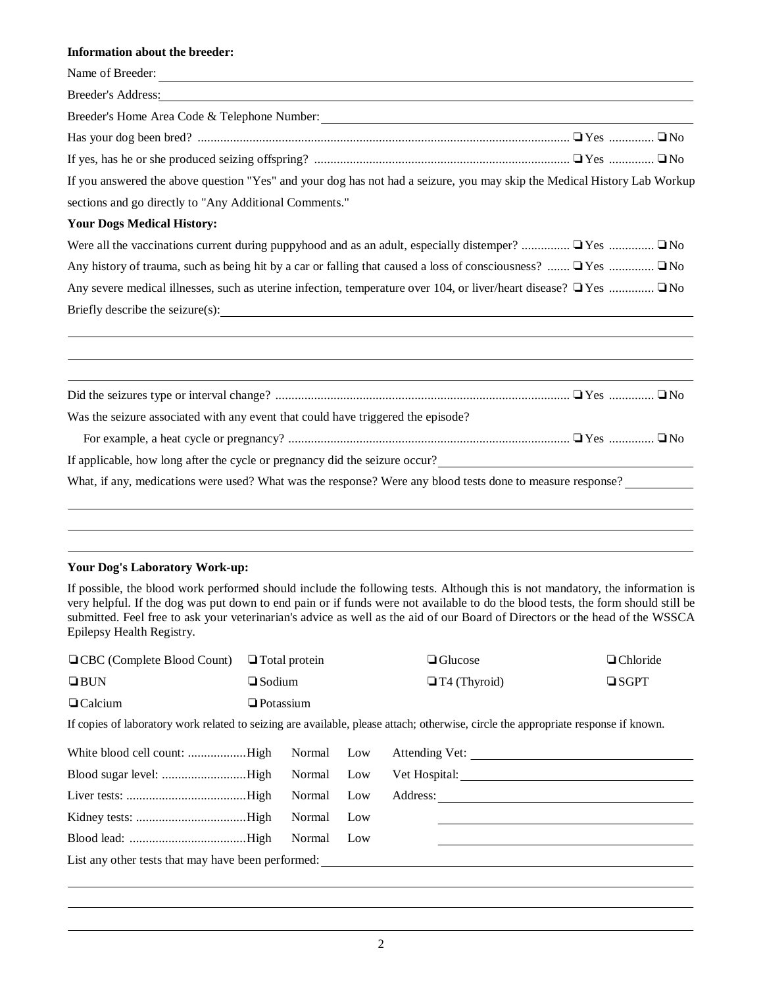### **Information about the breeder:**

| Name of Breeder:                                                                                                                                                                                                              |  |  |  |  |  |
|-------------------------------------------------------------------------------------------------------------------------------------------------------------------------------------------------------------------------------|--|--|--|--|--|
| Breeder's Address: New York Changes and Security and Security and Security and Security and Security and Security and Security and Security and Security and Security and Security and Security and Security and Security and |  |  |  |  |  |
|                                                                                                                                                                                                                               |  |  |  |  |  |
|                                                                                                                                                                                                                               |  |  |  |  |  |
|                                                                                                                                                                                                                               |  |  |  |  |  |
| If you answered the above question "Yes" and your dog has not had a seizure, you may skip the Medical History Lab Workup                                                                                                      |  |  |  |  |  |
| sections and go directly to "Any Additional Comments."                                                                                                                                                                        |  |  |  |  |  |
| <b>Your Dogs Medical History:</b>                                                                                                                                                                                             |  |  |  |  |  |
| Were all the vaccinations current during puppyhood and as an adult, especially distemper? $\Box$ Yes $\Box$ No                                                                                                                |  |  |  |  |  |
| Any history of trauma, such as being hit by a car or falling that caused a loss of consciousness? $\Box$ Yes $\Box$ No                                                                                                        |  |  |  |  |  |
| Any severe medical illnesses, such as uterine infection, temperature over 104, or liver/heart disease? $\Box$ Yes $\Box$ No                                                                                                   |  |  |  |  |  |
|                                                                                                                                                                                                                               |  |  |  |  |  |
|                                                                                                                                                                                                                               |  |  |  |  |  |
|                                                                                                                                                                                                                               |  |  |  |  |  |
| Was the seizure associated with any event that could have triggered the episode?                                                                                                                                              |  |  |  |  |  |
|                                                                                                                                                                                                                               |  |  |  |  |  |
| If applicable, how long after the cycle or pregnancy did the seizure occur?                                                                                                                                                   |  |  |  |  |  |
| What, if any, medications were used? What was the response? Were any blood tests done to measure response?                                                                                                                    |  |  |  |  |  |
|                                                                                                                                                                                                                               |  |  |  |  |  |
|                                                                                                                                                                                                                               |  |  |  |  |  |
|                                                                                                                                                                                                                               |  |  |  |  |  |

#### **Your Dog's Laboratory Work-up:**

If possible, the blood work performed should include the following tests. Although this is not mandatory, the information is very helpful. If the dog was put down to end pain or if funds were not available to do the blood tests, the form should still be submitted. Feel free to ask your veterinarian's advice as well as the aid of our Board of Directors or the head of the WSSCA Epilepsy Health Registry.

| □ CBC (Complete Blood Count)                                                                                                       | $\Box$ Total protein |        |     |  | $\Box$ Glucose      | $\Box$ Chloride |  |
|------------------------------------------------------------------------------------------------------------------------------------|----------------------|--------|-----|--|---------------------|-----------------|--|
| $\Box$ BUN                                                                                                                         | $\Box$ Sodium        |        |     |  | $\Box$ T4 (Thyroid) | $\square$ SGPT  |  |
| $\Box$ Calcium                                                                                                                     | $\Box$ Potassium     |        |     |  |                     |                 |  |
| If copies of laboratory work related to seizing are available, please attach; otherwise, circle the appropriate response if known. |                      |        |     |  |                     |                 |  |
| White blood cell count: High                                                                                                       |                      | Normal | Low |  | Attending Vet:      |                 |  |
|                                                                                                                                    |                      | Normal | Low |  |                     |                 |  |
|                                                                                                                                    |                      | Normal | Low |  | Address:            |                 |  |
|                                                                                                                                    |                      | Normal | Low |  |                     |                 |  |
|                                                                                                                                    |                      | Normal | Low |  |                     |                 |  |
| List any other tests that may have been performed:                                                                                 |                      |        |     |  |                     |                 |  |
|                                                                                                                                    |                      |        |     |  |                     |                 |  |